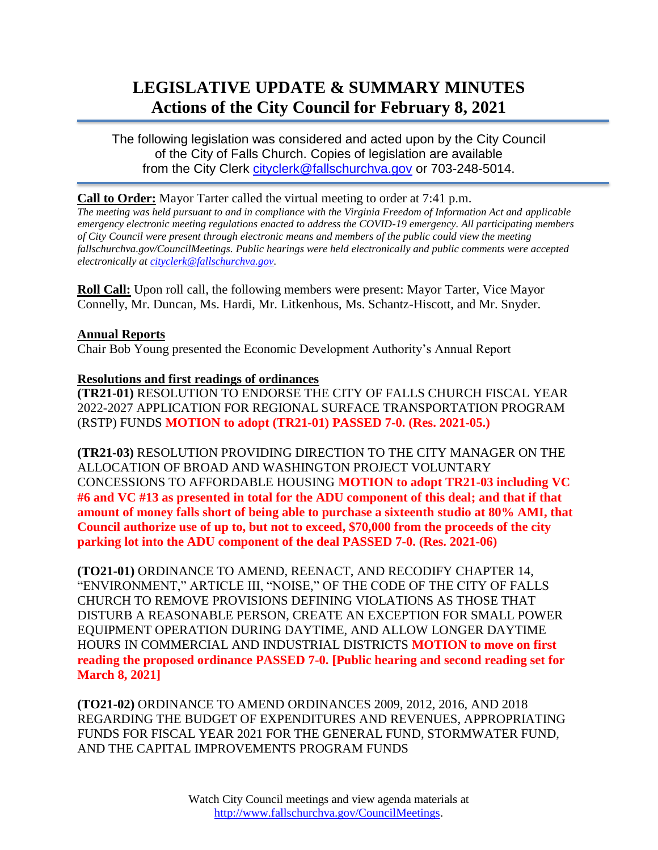# **LEGISLATIVE UPDATE & SUMMARY MINUTES Actions of the City Council for February 8, 2021**

The following legislation was considered and acted upon by the City Council of the City of Falls Church. Copies of legislation are available from the City Clerk [cityclerk@fallschurchva.gov](mailto:cityclerk@fallschurchva.gov) or 703-248-5014.

## **Call to Order:** Mayor Tarter called the virtual meeting to order at 7:41 p.m.

*The meeting was held pursuant to and in compliance with the Virginia Freedom of Information Act and applicable emergency electronic meeting regulations enacted to address the COVID-19 emergency. All participating members of City Council were present through electronic means and members of the public could view the meeting fallschurchva.gov/CouncilMeetings. Public hearings were held electronically and public comments were accepted electronically at [cityclerk@fallschurchva.gov.](mailto:cityclerk@fallschurchva.gov)*

**Roll Call:** Upon roll call, the following members were present: Mayor Tarter, Vice Mayor Connelly, Mr. Duncan, Ms. Hardi, Mr. Litkenhous, Ms. Schantz-Hiscott, and Mr. Snyder.

## **Annual Reports**

Chair Bob Young presented the Economic Development Authority's Annual Report

## **Resolutions and first readings of ordinances**

**(TR21-01)** RESOLUTION TO ENDORSE THE CITY OF FALLS CHURCH FISCAL YEAR 2022-2027 APPLICATION FOR REGIONAL SURFACE TRANSPORTATION PROGRAM (RSTP) FUNDS **MOTION to adopt (TR21-01) PASSED 7-0. (Res. 2021-05.)**

**(TR21-03)** RESOLUTION PROVIDING DIRECTION TO THE CITY MANAGER ON THE ALLOCATION OF BROAD AND WASHINGTON PROJECT VOLUNTARY CONCESSIONS TO AFFORDABLE HOUSING **MOTION to adopt TR21-03 including VC #6 and VC #13 as presented in total for the ADU component of this deal; and that if that amount of money falls short of being able to purchase a sixteenth studio at 80% AMI, that Council authorize use of up to, but not to exceed, \$70,000 from the proceeds of the city parking lot into the ADU component of the deal PASSED 7-0. (Res. 2021-06)**

**(TO21-01)** ORDINANCE TO AMEND, REENACT, AND RECODIFY CHAPTER 14, "ENVIRONMENT," ARTICLE III, "NOISE," OF THE CODE OF THE CITY OF FALLS CHURCH TO REMOVE PROVISIONS DEFINING VIOLATIONS AS THOSE THAT DISTURB A REASONABLE PERSON, CREATE AN EXCEPTION FOR SMALL POWER EQUIPMENT OPERATION DURING DAYTIME, AND ALLOW LONGER DAYTIME HOURS IN COMMERCIAL AND INDUSTRIAL DISTRICTS **MOTION to move on first reading the proposed ordinance PASSED 7-0. [Public hearing and second reading set for March 8, 2021]**

**(TO21-02)** ORDINANCE TO AMEND ORDINANCES 2009, 2012, 2016, AND 2018 REGARDING THE BUDGET OF EXPENDITURES AND REVENUES, APPROPRIATING FUNDS FOR FISCAL YEAR 2021 FOR THE GENERAL FUND, STORMWATER FUND, AND THE CAPITAL IMPROVEMENTS PROGRAM FUNDS